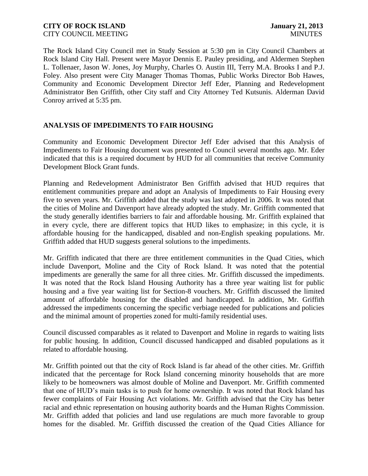## **CITY OF ROCK ISLAND January 21, 2013** CITY COUNCIL MEETING THE COUNCIL MEETING THE COUNCIL MINUTES

The Rock Island City Council met in Study Session at 5:30 pm in City Council Chambers at Rock Island City Hall. Present were Mayor Dennis E. Pauley presiding, and Aldermen Stephen L. Tollenaer, Jason W. Jones, Joy Murphy, Charles O. Austin III, Terry M.A. Brooks I and P.J. Foley. Also present were City Manager Thomas Thomas, Public Works Director Bob Hawes, Community and Economic Development Director Jeff Eder, Planning and Redevelopment Administrator Ben Griffith, other City staff and City Attorney Ted Kutsunis. Alderman David Conroy arrived at 5:35 pm.

# **ANALYSIS OF IMPEDIMENTS TO FAIR HOUSING**

Community and Economic Development Director Jeff Eder advised that this Analysis of Impediments to Fair Housing document was presented to Council several months ago. Mr. Eder indicated that this is a required document by HUD for all communities that receive Community Development Block Grant funds.

Planning and Redevelopment Administrator Ben Griffith advised that HUD requires that entitlement communities prepare and adopt an Analysis of Impediments to Fair Housing every five to seven years. Mr. Griffith added that the study was last adopted in 2006. It was noted that the cities of Moline and Davenport have already adopted the study. Mr. Griffith commented that the study generally identifies barriers to fair and affordable housing. Mr. Griffith explained that in every cycle, there are different topics that HUD likes to emphasize; in this cycle, it is affordable housing for the handicapped, disabled and non-English speaking populations. Mr. Griffith added that HUD suggests general solutions to the impediments.

Mr. Griffith indicated that there are three entitlement communities in the Quad Cities, which include Davenport, Moline and the City of Rock Island. It was noted that the potential impediments are generally the same for all three cities. Mr. Griffith discussed the impediments. It was noted that the Rock Island Housing Authority has a three year waiting list for public housing and a five year waiting list for Section-8 vouchers. Mr. Griffith discussed the limited amount of affordable housing for the disabled and handicapped. In addition, Mr. Griffith addressed the impediments concerning the specific verbiage needed for publications and policies and the minimal amount of properties zoned for multi-family residential uses.

Council discussed comparables as it related to Davenport and Moline in regards to waiting lists for public housing. In addition, Council discussed handicapped and disabled populations as it related to affordable housing.

Mr. Griffith pointed out that the city of Rock Island is far ahead of the other cities. Mr. Griffith indicated that the percentage for Rock Island concerning minority households that are more likely to be homeowners was almost double of Moline and Davenport. Mr. Griffith commented that one of HUD's main tasks is to push for home ownership. It was noted that Rock Island has fewer complaints of Fair Housing Act violations. Mr. Griffith advised that the City has better racial and ethnic representation on housing authority boards and the Human Rights Commission. Mr. Griffith added that policies and land use regulations are much more favorable to group homes for the disabled. Mr. Griffith discussed the creation of the Quad Cities Alliance for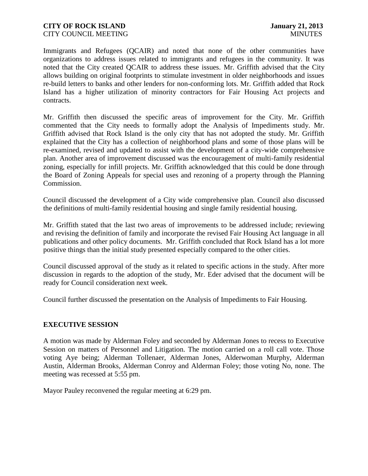#### **CITY OF ROCK ISLAND January 21, 2013** CITY COUNCIL MEETING THE COUNCIL MEETING THE COUNCIL MINUTES

Immigrants and Refugees (QCAIR) and noted that none of the other communities have organizations to address issues related to immigrants and refugees in the community. It was noted that the City created QCAIR to address these issues. Mr. Griffith advised that the City allows building on original footprints to stimulate investment in older neighborhoods and issues re-build letters to banks and other lenders for non-conforming lots. Mr. Griffith added that Rock Island has a higher utilization of minority contractors for Fair Housing Act projects and contracts.

Mr. Griffith then discussed the specific areas of improvement for the City. Mr. Griffith commented that the City needs to formally adopt the Analysis of Impediments study. Mr. Griffith advised that Rock Island is the only city that has not adopted the study. Mr. Griffith explained that the City has a collection of neighborhood plans and some of those plans will be re-examined, revised and updated to assist with the development of a city-wide comprehensive plan. Another area of improvement discussed was the encouragement of multi-family residential zoning, especially for infill projects. Mr. Griffith acknowledged that this could be done through the Board of Zoning Appeals for special uses and rezoning of a property through the Planning Commission.

Council discussed the development of a City wide comprehensive plan. Council also discussed the definitions of multi-family residential housing and single family residential housing.

Mr. Griffith stated that the last two areas of improvements to be addressed include; reviewing and revising the definition of family and incorporate the revised Fair Housing Act language in all publications and other policy documents. Mr. Griffith concluded that Rock Island has a lot more positive things than the initial study presented especially compared to the other cities.

Council discussed approval of the study as it related to specific actions in the study. After more discussion in regards to the adoption of the study, Mr. Eder advised that the document will be ready for Council consideration next week.

Council further discussed the presentation on the Analysis of Impediments to Fair Housing.

### **EXECUTIVE SESSION**

A motion was made by Alderman Foley and seconded by Alderman Jones to recess to Executive Session on matters of Personnel and Litigation. The motion carried on a roll call vote. Those voting Aye being; Alderman Tollenaer, Alderman Jones, Alderwoman Murphy, Alderman Austin, Alderman Brooks, Alderman Conroy and Alderman Foley; those voting No, none. The meeting was recessed at 5:55 pm.

Mayor Pauley reconvened the regular meeting at 6:29 pm.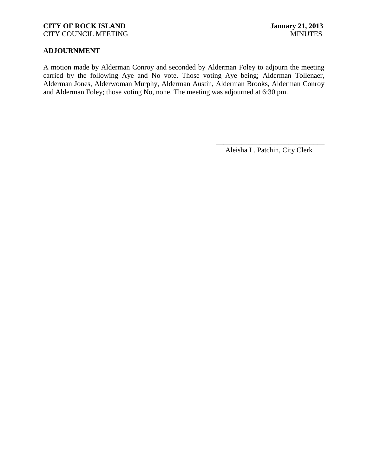### **CITY OF ROCK ISLAND January 21, 2013** CITY COUNCIL MEETING MINUTES

# **ADJOURNMENT**

A motion made by Alderman Conroy and seconded by Alderman Foley to adjourn the meeting carried by the following Aye and No vote. Those voting Aye being; Alderman Tollenaer, Alderman Jones, Alderwoman Murphy, Alderman Austin, Alderman Brooks, Alderman Conroy and Alderman Foley; those voting No, none. The meeting was adjourned at 6:30 pm.

\_\_\_\_\_\_\_\_\_\_\_\_\_\_\_\_\_\_\_\_\_\_\_\_\_\_\_\_\_\_ Aleisha L. Patchin, City Clerk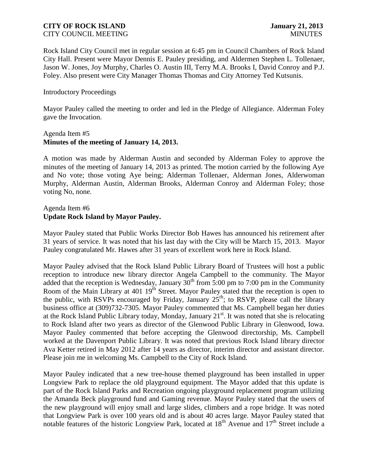#### **CITY OF ROCK ISLAND January 21, 2013** CITY COUNCIL MEETING WIND AND SERVICES AND MINUTES

Rock Island City Council met in regular session at 6:45 pm in Council Chambers of Rock Island City Hall. Present were Mayor Dennis E. Pauley presiding, and Aldermen Stephen L. Tollenaer, Jason W. Jones, Joy Murphy, Charles O. Austin III, Terry M.A. Brooks I, David Conroy and P.J. Foley. Also present were City Manager Thomas Thomas and City Attorney Ted Kutsunis.

#### Introductory Proceedings

Mayor Pauley called the meeting to order and led in the Pledge of Allegiance. Alderman Foley gave the Invocation.

### Agenda Item #5 **Minutes of the meeting of January 14, 2013.**

A motion was made by Alderman Austin and seconded by Alderman Foley to approve the minutes of the meeting of January 14, 2013 as printed. The motion carried by the following Aye and No vote; those voting Aye being; Alderman Tollenaer, Alderman Jones, Alderwoman Murphy, Alderman Austin, Alderman Brooks, Alderman Conroy and Alderman Foley; those voting No, none.

# Agenda Item #6 **Update Rock Island by Mayor Pauley.**

Mayor Pauley stated that Public Works Director Bob Hawes has announced his retirement after 31 years of service. It was noted that his last day with the City will be March 15, 2013. Mayor Pauley congratulated Mr. Hawes after 31 years of excellent work here in Rock Island.

Mayor Pauley advised that the Rock Island Public Library Board of Trustees will host a public reception to introduce new library director Angela Campbell to the community. The Mayor added that the reception is Wednesday, January  $30^{th}$  from 5:00 pm to 7:00 pm in the Community Room of the Main Library at 401 19<sup>th</sup> Street. Mayor Pauley stated that the reception is open to the public, with RSVPs encouraged by Friday, January  $25<sup>th</sup>$ ; to RSVP, please call the library business office at (309)732-7305. Mayor Pauley commented that Ms. Campbell began her duties at the Rock Island Public Library today, Monday, January  $21<sup>st</sup>$ . It was noted that she is relocating to Rock Island after two years as director of the Glenwood Public Library in Glenwood, Iowa. Mayor Pauley commented that before accepting the Glenwood directorship, Ms. Campbell worked at the Davenport Public Library. It was noted that previous Rock Island library director Ava Ketter retired in May 2012 after 14 years as director, interim director and assistant director. Please join me in welcoming Ms. Campbell to the City of Rock Island.

Mayor Pauley indicated that a new tree-house themed playground has been installed in upper Longview Park to replace the old playground equipment. The Mayor added that this update is part of the Rock Island Parks and Recreation ongoing playground replacement program utilizing the Amanda Beck playground fund and Gaming revenue. Mayor Pauley stated that the users of the new playground will enjoy small and large slides, climbers and a rope bridge. It was noted that Longview Park is over 100 years old and is about 40 acres large. Mayor Pauley stated that notable features of the historic Longview Park, located at  $18<sup>th</sup>$  Avenue and  $17<sup>th</sup>$  Street include a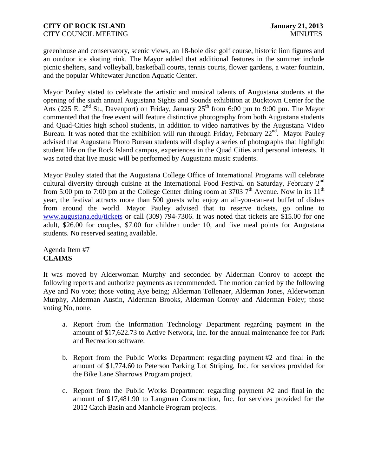greenhouse and conservatory, scenic views, an 18-hole disc golf course, historic lion figures and an outdoor ice skating rink. The Mayor added that additional features in the summer include picnic shelters, sand volleyball, basketball courts, tennis courts, flower gardens, a water fountain, and the popular Whitewater Junction Aquatic Center.

Mayor Pauley stated to celebrate the artistic and musical talents of Augustana students at the opening of the sixth annual Augustana Sights and Sounds exhibition at Bucktown Center for the Arts (225 E. 2<sup>nd</sup> St., Davenport) on Friday, January 25<sup>th</sup> from 6:00 pm to 9:00 pm. The Mayor commented that the free event will feature distinctive photography from both Augustana students and Quad-Cities high school students, in addition to video narratives by the Augustana Video Bureau. It was noted that the exhibition will run through Friday, February 22<sup>nd</sup>. Mayor Pauley advised that Augustana Photo Bureau students will display a series of photographs that highlight student life on the Rock Island campus, experiences in the Quad Cities and personal interests. It was noted that live music will be performed by Augustana music students.

Mayor Pauley stated that the Augustana College Office of International Programs will celebrate cultural diversity through cuisine at the International Food Festival on Saturday, February 2<sup>nd</sup> from 5:00 pm to 7:00 pm at the College Center dining room at 3703  $7<sup>th</sup>$  Avenue. Now in its 11<sup>th</sup> year, the festival attracts more than 500 guests who enjoy an all-you-can-eat buffet of dishes from around the world. Mayor Pauley advised that to reserve tickets, go online to [www.augustana.edu/tickets](http://www.augustana.edu/tickets) or call (309) 794-7306. It was noted that tickets are \$15.00 for one adult, \$26.00 for couples, \$7.00 for children under 10, and five meal points for Augustana students. No reserved seating available.

Agenda Item #7 **CLAIMS**

It was moved by Alderwoman Murphy and seconded by Alderman Conroy to accept the following reports and authorize payments as recommended. The motion carried by the following Aye and No vote; those voting Aye being; Alderman Tollenaer, Alderman Jones, Alderwoman Murphy, Alderman Austin, Alderman Brooks, Alderman Conroy and Alderman Foley; those voting No, none.

- a. Report from the Information Technology Department regarding payment in the amount of \$17,622.73 to Active Network, Inc. for the annual maintenance fee for Park and Recreation software.
- b. Report from the Public Works Department regarding payment #2 and final in the amount of \$1,774.60 to Peterson Parking Lot Striping, Inc. for services provided for the Bike Lane Sharrows Program project.
- c. Report from the Public Works Department regarding payment #2 and final in the amount of \$17,481.90 to Langman Construction, Inc. for services provided for the 2012 Catch Basin and Manhole Program projects.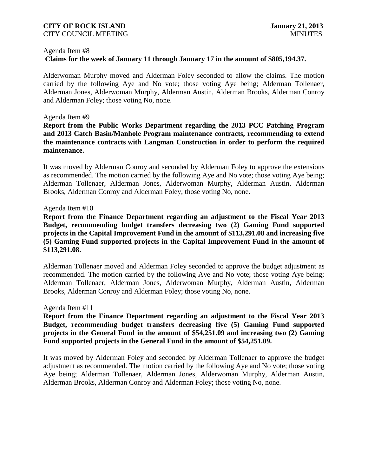#### **CITY OF ROCK ISLAND January 21, 2013** CITY COUNCIL MEETING THE COUNCIL MEETING THE COUNCIL MINUTES

#### Agenda Item #8

# **Claims for the week of January 11 through January 17 in the amount of \$805,194.37.**

Alderwoman Murphy moved and Alderman Foley seconded to allow the claims. The motion carried by the following Aye and No vote; those voting Aye being; Alderman Tollenaer, Alderman Jones, Alderwoman Murphy, Alderman Austin, Alderman Brooks, Alderman Conroy and Alderman Foley; those voting No, none.

#### Agenda Item #9

**Report from the Public Works Department regarding the 2013 PCC Patching Program and 2013 Catch Basin/Manhole Program maintenance contracts, recommending to extend the maintenance contracts with Langman Construction in order to perform the required maintenance.**

It was moved by Alderman Conroy and seconded by Alderman Foley to approve the extensions as recommended. The motion carried by the following Aye and No vote; those voting Aye being; Alderman Tollenaer, Alderman Jones, Alderwoman Murphy, Alderman Austin, Alderman Brooks, Alderman Conroy and Alderman Foley; those voting No, none.

### Agenda Item #10

**Report from the Finance Department regarding an adjustment to the Fiscal Year 2013 Budget, recommending budget transfers decreasing two (2) Gaming Fund supported projects in the Capital Improvement Fund in the amount of \$113,291.08 and increasing five (5) Gaming Fund supported projects in the Capital Improvement Fund in the amount of \$113,291.08.**

Alderman Tollenaer moved and Alderman Foley seconded to approve the budget adjustment as recommended. The motion carried by the following Aye and No vote; those voting Aye being; Alderman Tollenaer, Alderman Jones, Alderwoman Murphy, Alderman Austin, Alderman Brooks, Alderman Conroy and Alderman Foley; those voting No, none.

### Agenda Item #11

**Report from the Finance Department regarding an adjustment to the Fiscal Year 2013 Budget, recommending budget transfers decreasing five (5) Gaming Fund supported projects in the General Fund in the amount of \$54,251.09 and increasing two (2) Gaming Fund supported projects in the General Fund in the amount of \$54,251.09.**

It was moved by Alderman Foley and seconded by Alderman Tollenaer to approve the budget adjustment as recommended. The motion carried by the following Aye and No vote; those voting Aye being; Alderman Tollenaer, Alderman Jones, Alderwoman Murphy, Alderman Austin, Alderman Brooks, Alderman Conroy and Alderman Foley; those voting No, none.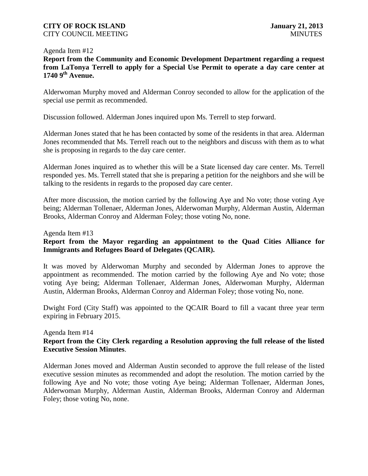## **CITY OF ROCK ISLAND January 21, 2013** CITY COUNCIL MEETING MINUTES

#### Agenda Item #12

**Report from the Community and Economic Development Department regarding a request from LaTonya Terrell to apply for a Special Use Permit to operate a day care center at 1740 9th Avenue.**

Alderwoman Murphy moved and Alderman Conroy seconded to allow for the application of the special use permit as recommended.

Discussion followed. Alderman Jones inquired upon Ms. Terrell to step forward.

Alderman Jones stated that he has been contacted by some of the residents in that area. Alderman Jones recommended that Ms. Terrell reach out to the neighbors and discuss with them as to what she is proposing in regards to the day care center.

Alderman Jones inquired as to whether this will be a State licensed day care center. Ms. Terrell responded yes. Ms. Terrell stated that she is preparing a petition for the neighbors and she will be talking to the residents in regards to the proposed day care center.

After more discussion, the motion carried by the following Aye and No vote; those voting Aye being; Alderman Tollenaer, Alderman Jones, Alderwoman Murphy, Alderman Austin, Alderman Brooks, Alderman Conroy and Alderman Foley; those voting No, none.

### Agenda Item #13

# **Report from the Mayor regarding an appointment to the Quad Cities Alliance for Immigrants and Refugees Board of Delegates (QCAIR).**

It was moved by Alderwoman Murphy and seconded by Alderman Jones to approve the appointment as recommended. The motion carried by the following Aye and No vote; those voting Aye being; Alderman Tollenaer, Alderman Jones, Alderwoman Murphy, Alderman Austin, Alderman Brooks, Alderman Conroy and Alderman Foley; those voting No, none.

Dwight Ford (City Staff) was appointed to the QCAIR Board to fill a vacant three year term expiring in February 2015.

### Agenda Item #14

# **Report from the City Clerk regarding a Resolution approving the full release of the listed Executive Session Minutes**.

Alderman Jones moved and Alderman Austin seconded to approve the full release of the listed executive session minutes as recommended and adopt the resolution. The motion carried by the following Aye and No vote; those voting Aye being; Alderman Tollenaer, Alderman Jones, Alderwoman Murphy, Alderman Austin, Alderman Brooks, Alderman Conroy and Alderman Foley; those voting No, none.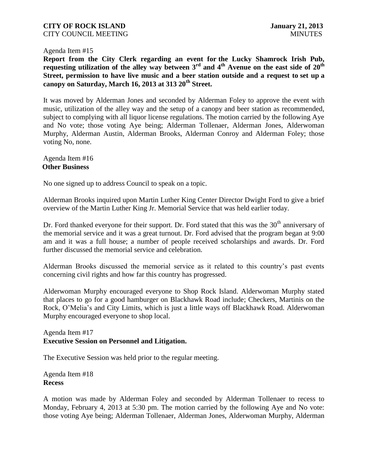### **CITY OF ROCK ISLAND January 21, 2013** CITY COUNCIL MEETING MINUTES

#### Agenda Item #15

**Report from the City Clerk regarding an event for the Lucky Shamrock Irish Pub, requesting utilization of the alley way between 3rd and 4th Avenue on the east side of 20th Street, permission to have live music and a beer station outside and a request to set up a canopy on Saturday, March 16, 2013 at 313 20th Street.**

It was moved by Alderman Jones and seconded by Alderman Foley to approve the event with music, utilization of the alley way and the setup of a canopy and beer station as recommended, subject to complying with all liquor license regulations. The motion carried by the following Aye and No vote; those voting Aye being; Alderman Tollenaer, Alderman Jones, Alderwoman Murphy, Alderman Austin, Alderman Brooks, Alderman Conroy and Alderman Foley; those voting No, none.

### Agenda Item #16 **Other Business**

No one signed up to address Council to speak on a topic.

Alderman Brooks inquired upon Martin Luther King Center Director Dwight Ford to give a brief overview of the Martin Luther King Jr. Memorial Service that was held earlier today.

Dr. Ford thanked everyone for their support. Dr. Ford stated that this was the  $30<sup>th</sup>$  anniversary of the memorial service and it was a great turnout. Dr. Ford advised that the program began at 9:00 am and it was a full house; a number of people received scholarships and awards. Dr. Ford further discussed the memorial service and celebration.

Alderman Brooks discussed the memorial service as it related to this country's past events concerning civil rights and how far this country has progressed.

Alderwoman Murphy encouraged everyone to Shop Rock Island. Alderwoman Murphy stated that places to go for a good hamburger on Blackhawk Road include; Checkers, Martinis on the Rock, O'Melia's and City Limits, which is just a little ways off Blackhawk Road. Alderwoman Murphy encouraged everyone to shop local.

Agenda Item #17 **Executive Session on Personnel and Litigation.**

The Executive Session was held prior to the regular meeting.

Agenda Item #18 **Recess**

A motion was made by Alderman Foley and seconded by Alderman Tollenaer to recess to Monday, February 4, 2013 at 5:30 pm. The motion carried by the following Aye and No vote: those voting Aye being; Alderman Tollenaer, Alderman Jones, Alderwoman Murphy, Alderman